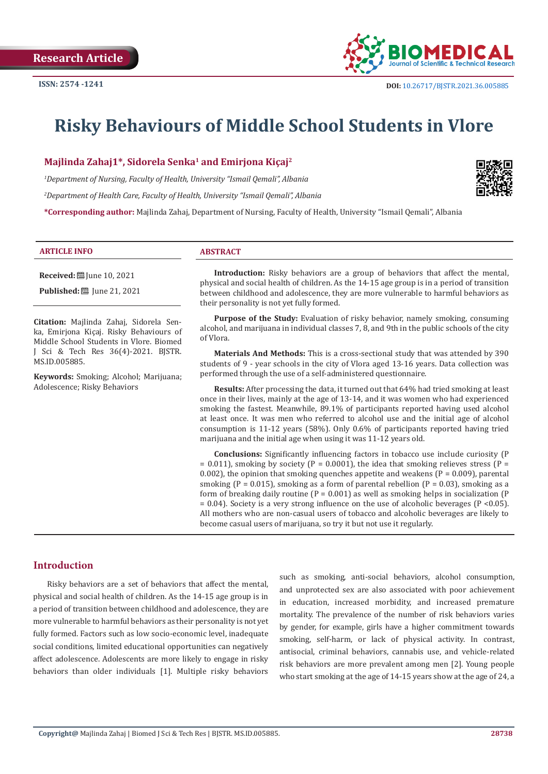

# **Risky Behaviours of Middle School Students in Vlore**

**Majlinda Zahaj1\*, Sidorela Senka1 and Emirjona Kiçaj2**

*1 Department of Nursing, Faculty of Health, University "Ismail Qemali", Albania*

*2 Department of Health Care, Faculty of Health, University "Ismail Qemali", Albania*

**\*Corresponding author:** Majlinda Zahaj, Department of Nursing, Faculty of Health, University "Ismail Qemali", Albania

#### **ARTICLE INFO ABSTRACT**

**Received:** [ June 10, 2021

**Published:** ■ June 21, 2021

**Citation:** Majlinda Zahaj, Sidorela Senka, Emirjona Kiçaj. Risky Behaviours of Middle School Students in Vlore. Biomed J Sci & Tech Res 36(4)-2021. BJSTR. MS.ID.005885.

**Keywords:** Smoking; Alcohol; Marijuana; Adolescence; Risky Behaviors

**Introduction:** Risky behaviors are a group of behaviors that affect the mental, physical and social health of children. As the 14-15 age group is in a period of transition between childhood and adolescence, they are more vulnerable to harmful behaviors as their personality is not yet fully formed.

**Purpose of the Study:** Evaluation of risky behavior, namely smoking, consuming alcohol, and marijuana in individual classes 7, 8, and 9th in the public schools of the city of Vlora.

**Materials And Methods:** This is a cross-sectional study that was attended by 390 students of 9 - year schools in the city of Vlora aged 13-16 years. Data collection was performed through the use of a self-administered questionnaire.

**Results:** After processing the data, it turned out that 64% had tried smoking at least once in their lives, mainly at the age of 13-14, and it was women who had experienced smoking the fastest. Meanwhile, 89.1% of participants reported having used alcohol at least once. It was men who referred to alcohol use and the initial age of alcohol consumption is 11-12 years (58%). Only 0.6% of participants reported having tried marijuana and the initial age when using it was 11-12 years old.

**Conclusions:** Significantly influencing factors in tobacco use include curiosity (P  $= 0.011$ ), smoking by society (P = 0.0001), the idea that smoking relieves stress (P = 0.002), the opinion that smoking quenches appetite and weakens ( $P = 0.009$ ), parental smoking ( $P = 0.015$ ), smoking as a form of parental rebellion ( $P = 0.03$ ), smoking as a form of breaking daily routine ( $P = 0.001$ ) as well as smoking helps in socialization ( $P$  $= 0.04$ ). Society is a very strong influence on the use of alcoholic beverages (P <0.05). All mothers who are non-casual users of tobacco and alcoholic beverages are likely to become casual users of marijuana, so try it but not use it regularly.

# **Introduction**

Risky behaviors are a set of behaviors that affect the mental, physical and social health of children. As the 14-15 age group is in a period of transition between childhood and adolescence, they are more vulnerable to harmful behaviors as their personality is not yet fully formed. Factors such as low socio-economic level, inadequate social conditions, limited educational opportunities can negatively affect adolescence. Adolescents are more likely to engage in risky behaviors than older individuals [1]. Multiple risky behaviors such as smoking, anti-social behaviors, alcohol consumption, and unprotected sex are also associated with poor achievement in education, increased morbidity, and increased premature mortality. The prevalence of the number of risk behaviors varies by gender, for example, girls have a higher commitment towards smoking, self-harm, or lack of physical activity. In contrast, antisocial, criminal behaviors, cannabis use, and vehicle-related risk behaviors are more prevalent among men [2]. Young people who start smoking at the age of 14-15 years show at the age of 24, a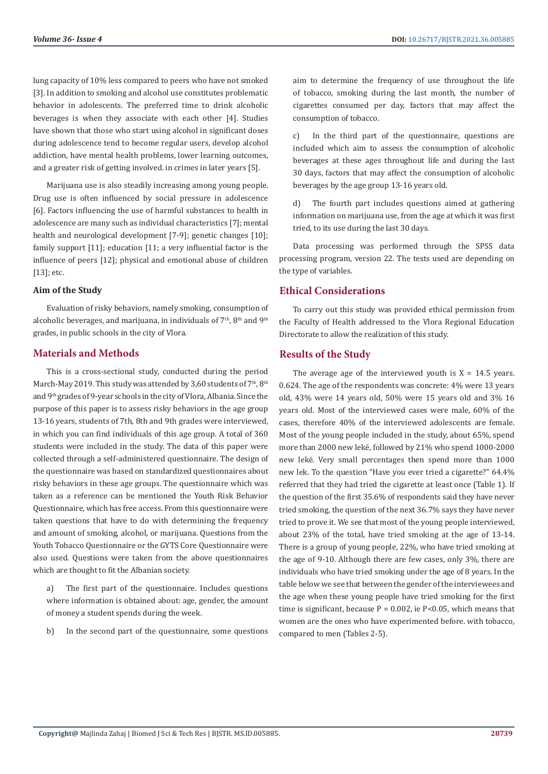lung capacity of 10% less compared to peers who have not smoked [3]. In addition to smoking and alcohol use constitutes problematic behavior in adolescents. The preferred time to drink alcoholic beverages is when they associate with each other [4]. Studies have shown that those who start using alcohol in significant doses during adolescence tend to become regular users, develop alcohol addiction, have mental health problems, lower learning outcomes, and a greater risk of getting involved. in crimes in later years [5].

Marijuana use is also steadily increasing among young people. Drug use is often influenced by social pressure in adolescence [6]. Factors influencing the use of harmful substances to health in adolescence are many such as individual characteristics [7]; mental health and neurological development [7-9]; genetic changes [10]; family support [11]; education [11; a very influential factor is the influence of peers [12]; physical and emotional abuse of children [13]; etc.

#### **Aim of the Study**

Evaluation of risky behaviors, namely smoking, consumption of alcoholic beverages, and marijuana, in individuals of  $7<sup>th</sup>$ ,  $8<sup>th</sup>$  and  $9<sup>th</sup>$ grades, in public schools in the city of Vlora.

### **Materials and Methods**

This is a cross-sectional study, conducted during the period March-May 2019. This study was attended by 3,60 students of  $7<sup>th</sup>$ ,  $8<sup>th</sup>$ and 9th grades of 9-year schools in the city of Vlora, Albania. Since the purpose of this paper is to assess risky behaviors in the age group 13-16 years, students of 7th, 8th and 9th grades were interviewed, in which you can find individuals of this age group. A total of 360 students were included in the study. The data of this paper were collected through a self-administered questionnaire. The design of the questionnaire was based on standardized questionnaires about risky behaviors in these age groups. The questionnaire which was taken as a reference can be mentioned the Youth Risk Behavior Questionnaire, which has free access. From this questionnaire were taken questions that have to do with determining the frequency and amount of smoking, alcohol, or marijuana. Questions from the Youth Tobacco Questionnaire or the GYTS Core Questionnaire were also used. Questions were taken from the above questionnaires which are thought to fit the Albanian society.

a) The first part of the questionnaire. Includes questions where information is obtained about: age, gender, the amount of money a student spends during the week.

b) In the second part of the questionnaire, some questions

aim to determine the frequency of use throughout the life of tobacco, smoking during the last month, the number of cigarettes consumed per day, factors that may affect the consumption of tobacco.

c) In the third part of the questionnaire, questions are included which aim to assess the consumption of alcoholic beverages at these ages throughout life and during the last 30 days, factors that may affect the consumption of alcoholic beverages by the age group 13-16 years old.

d) The fourth part includes questions aimed at gathering information on marijuana use, from the age at which it was first tried, to its use during the last 30 days.

Data processing was performed through the SPSS data processing program, version 22. The tests used are depending on the type of variables.

### **Ethical Considerations**

To carry out this study was provided ethical permission from the Faculty of Health addressed to the Vlora Regional Education Directorate to allow the realization of this study.

### **Results of the Study**

The average age of the interviewed youth is  $X = 14.5$  years. 0.624. The age of the respondents was concrete: 4% were 13 years old, 43% were 14 years old, 50% were 15 years old and 3% 16 years old. Most of the interviewed cases were male, 60% of the cases, therefore 40% of the interviewed adolescents are female. Most of the young people included in the study, about 65%, spend more than 2000 new lekë, followed by 21% who spend 1000-2000 new lekë. Very small percentages then spend more than 1000 new lek. To the question "Have you ever tried a cigarette?" 64.4% referred that they had tried the cigarette at least once (Table 1). If the question of the first 35.6% of respondents said they have never tried smoking, the question of the next 36.7% says they have never tried to prove it. We see that most of the young people interviewed, about 23% of the total, have tried smoking at the age of 13-14. There is a group of young people, 22%, who have tried smoking at the age of 9-10. Although there are few cases, only 3%, there are individuals who have tried smoking under the age of 8 years. In the table below we see that between the gender of the interviewees and the age when these young people have tried smoking for the first time is significant, because  $P = 0.002$ , ie  $P < 0.05$ , which means that women are the ones who have experimented before. with tobacco, compared to men (Tables 2-5).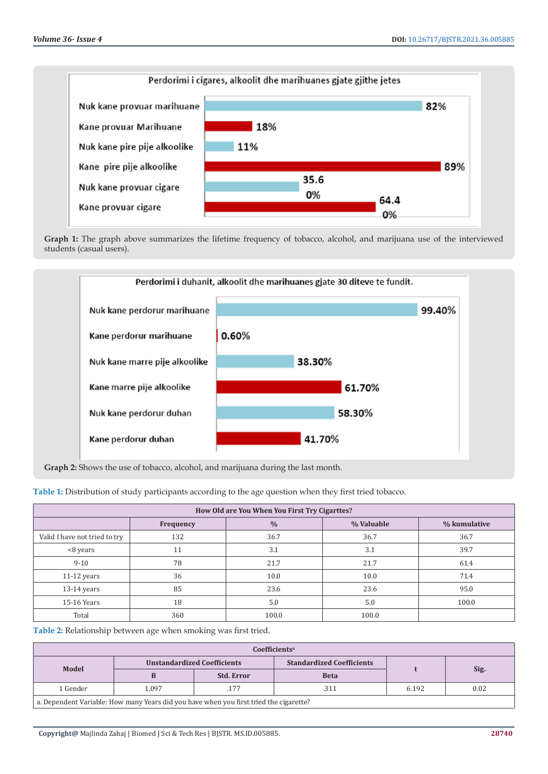

Graph 1: The graph above summarizes the lifetime frequency of tobacco, alcohol, and marijuana use of the interviewed students (casual users).



**Graph 2:** Shows the use of tobacco, alcohol, and marijuana during the last month.

**Table 1:** Distribution of study participants according to the age question when they first tried tobacco.

| How Old are You When You First Try Cigarttes?            |     |       |       |       |  |  |  |
|----------------------------------------------------------|-----|-------|-------|-------|--|--|--|
| $\frac{0}{0}$<br>% Valuable<br>% kumulative<br>Frequency |     |       |       |       |  |  |  |
| Valid I have not tried to try                            | 132 | 36.7  | 36.7  | 36.7  |  |  |  |
| <8 years                                                 | 11  | 3.1   | 3.1   | 39.7  |  |  |  |
| $9 - 10$                                                 | 78  | 21.7  | 21.7  | 61.4  |  |  |  |
| $11-12$ years                                            | 36  | 10.0  | 10.0  | 71.4  |  |  |  |
| $13-14$ years                                            | 85  | 23.6  | 23.6  | 95.0  |  |  |  |
| 15-16 Years                                              | 18  | 5.0   | 5.0   | 100.0 |  |  |  |
| Total                                                    | 360 | 100.0 | 100.0 |       |  |  |  |

**Table 2:** Relationship between age when smoking was first tried.

| Coefficientsª                                                                          |                                    |                                  |             |       |      |  |
|----------------------------------------------------------------------------------------|------------------------------------|----------------------------------|-------------|-------|------|--|
|                                                                                        | <b>Unstandardized Coefficients</b> | <b>Standardized Coefficients</b> |             |       |      |  |
| Model                                                                                  |                                    | <b>Std. Error</b>                | <b>Beta</b> |       | Sig. |  |
| 1 Gender                                                                               | 1.097                              | .177                             | .311        | 6.192 | 0.02 |  |
| a. Dependent Variable: How many Years did you have when you first tried the cigarette? |                                    |                                  |             |       |      |  |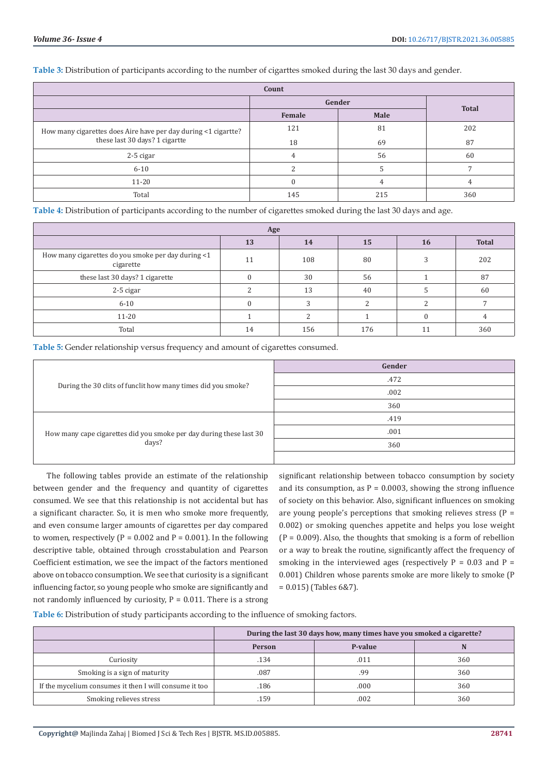**Table 3:** Distribution of participants according to the number of cigarttes smoked during the last 30 days and gender.

| Count                                                          |        |        |              |  |  |
|----------------------------------------------------------------|--------|--------|--------------|--|--|
|                                                                |        | Gender | <b>Total</b> |  |  |
|                                                                | Female | Male   |              |  |  |
| How many cigarettes does Aire have per day during <1 cigartte? | 121    | 81     | 202          |  |  |
| these last 30 days? 1 cigartte                                 | 18     | 69     | 87           |  |  |
| 2-5 cigar                                                      |        | 56     | 60           |  |  |
| $6 - 10$                                                       |        |        |              |  |  |
| $11 - 20$                                                      |        |        |              |  |  |
| Total                                                          | 145    | 215    | 360          |  |  |

**Table 4:** Distribution of participants according to the number of cigarettes smoked during the last 30 days and age.

| Age                                                             |    |            |     |  |     |  |
|-----------------------------------------------------------------|----|------------|-----|--|-----|--|
| <b>Total</b><br>13<br>14<br>15<br>16                            |    |            |     |  |     |  |
| How many cigarettes do you smoke per day during <1<br>cigarette | 11 | 108        | 80  |  | 202 |  |
| these last 30 days? 1 cigarette                                 |    | 30         | 56  |  | 87  |  |
| 2-5 cigar                                                       |    | 13         | 40  |  | 60  |  |
| $6 - 10$                                                        |    | $\sqrt{2}$ |     |  |     |  |
| $11 - 20$                                                       |    |            |     |  |     |  |
| Total                                                           | 14 | 156        | 176 |  | 360 |  |

**Table 5:** Gender relationship versus frequency and amount of cigarettes consumed.

|                                                                              | Gender |
|------------------------------------------------------------------------------|--------|
| During the 30 clits of funclit how many times did you smoke?                 | .472   |
|                                                                              | .002   |
|                                                                              | 360    |
| How many cape cigarettes did you smoke per day during these last 30<br>days? | .419   |
|                                                                              | .001   |
|                                                                              | 360    |
|                                                                              |        |

The following tables provide an estimate of the relationship between gender and the frequency and quantity of cigarettes consumed. We see that this relationship is not accidental but has a significant character. So, it is men who smoke more frequently, and even consume larger amounts of cigarettes per day compared to women, respectively ( $P = 0.002$  and  $P = 0.001$ ). In the following descriptive table, obtained through crosstabulation and Pearson Coefficient estimation, we see the impact of the factors mentioned above on tobacco consumption. We see that curiosity is a significant influencing factor, so young people who smoke are significantly and not randomly influenced by curiosity,  $P = 0.011$ . There is a strong

significant relationship between tobacco consumption by society and its consumption, as  $P = 0.0003$ , showing the strong influence of society on this behavior. Also, significant influences on smoking are young people's perceptions that smoking relieves stress  $(P =$ 0.002) or smoking quenches appetite and helps you lose weight  $(P = 0.009)$ . Also, the thoughts that smoking is a form of rebellion or a way to break the routine, significantly affect the frequency of smoking in the interviewed ages (respectively  $P = 0.03$  and  $P =$ 0.001) Children whose parents smoke are more likely to smoke (P = 0.015) (Tables 6&7).

**Table 6:** Distribution of study participants according to the influence of smoking factors.

|                                                        | During the last 30 days how, many times have you smoked a cigarette? |      |     |  |  |
|--------------------------------------------------------|----------------------------------------------------------------------|------|-----|--|--|
|                                                        | P-value<br><b>Person</b>                                             |      |     |  |  |
| Curiosity                                              | .134                                                                 | .011 | 360 |  |  |
| Smoking is a sign of maturity                          | .087                                                                 | .99  | 360 |  |  |
| If the mycelium consumes it then I will consume it too | .186                                                                 | .000 | 360 |  |  |
| Smoking relieves stress                                | 159                                                                  | .002 | 360 |  |  |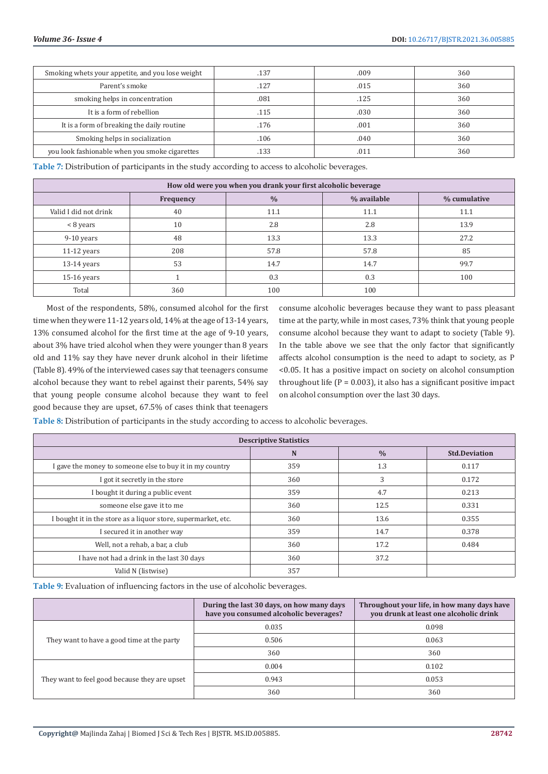| Smoking whets your appetite, and you lose weight | .137 | .009 | 360 |
|--------------------------------------------------|------|------|-----|
| Parent's smoke                                   | .127 | .015 | 360 |
| smoking helps in concentration                   | .081 | .125 | 360 |
| It is a form of rebellion                        | .115 | .030 | 360 |
| It is a form of breaking the daily routine       | .176 | .001 | 360 |
| Smoking helps in socialization                   | .106 | .040 | 360 |
| you look fashionable when you smoke cigarettes   | 133  | .011 | 360 |

**Table 7:** Distribution of participants in the study according to access to alcoholic beverages.

| How old were you when you drank your first alcoholic beverage |     |      |      |      |  |
|---------------------------------------------------------------|-----|------|------|------|--|
| $\frac{0}{0}$<br>% available<br>% cumulative<br>Frequency     |     |      |      |      |  |
| Valid I did not drink                                         | 40  | 11.1 | 11.1 | 11.1 |  |
| < 8 years                                                     | 10  | 2.8  | 2.8  | 13.9 |  |
| $9-10$ years                                                  | 48  | 13.3 | 13.3 | 27.2 |  |
| $11-12$ years                                                 | 208 | 57.8 | 57.8 | 85   |  |
| $13-14$ years                                                 | 53  | 14.7 | 14.7 | 99.7 |  |
| $15-16$ years                                                 |     | 0.3  | 0.3  | 100  |  |
| Total                                                         | 360 | 100  | 100  |      |  |

Most of the respondents, 58%, consumed alcohol for the first time when they were 11-12 years old, 14% at the age of 13-14 years, 13% consumed alcohol for the first time at the age of 9-10 years, about 3% have tried alcohol when they were younger than 8 years old and 11% say they have never drunk alcohol in their lifetime (Table 8). 49% of the interviewed cases say that teenagers consume alcohol because they want to rebel against their parents, 54% say that young people consume alcohol because they want to feel good because they are upset, 67.5% of cases think that teenagers

consume alcoholic beverages because they want to pass pleasant time at the party, while in most cases, 73% think that young people consume alcohol because they want to adapt to society (Table 9). In the table above we see that the only factor that significantly affects alcohol consumption is the need to adapt to society, as P <0.05. It has a positive impact on society on alcohol consumption throughout life ( $P = 0.003$ ), it also has a significant positive impact on alcohol consumption over the last 30 days.

**Table 8:** Distribution of participants in the study according to access to alcoholic beverages.

| <b>Descriptive Statistics</b>                                 |     |      |       |  |  |  |
|---------------------------------------------------------------|-----|------|-------|--|--|--|
| N<br>$\frac{0}{0}$<br><b>Std.Deviation</b>                    |     |      |       |  |  |  |
| I gave the money to someone else to buy it in my country      | 359 | 1.3  | 0.117 |  |  |  |
| I got it secretly in the store                                | 360 | 3    | 0.172 |  |  |  |
| I bought it during a public event                             | 359 | 4.7  | 0.213 |  |  |  |
| someone else gave it to me                                    | 360 | 12.5 | 0.331 |  |  |  |
| I bought it in the store as a liquor store, supermarket, etc. | 360 | 13.6 | 0.355 |  |  |  |
| I secured it in another way                                   | 359 | 14.7 | 0.378 |  |  |  |
| Well, not a rehab, a bar, a club                              | 360 | 17.2 | 0.484 |  |  |  |
| I have not had a drink in the last 30 days                    | 360 | 37.2 |       |  |  |  |
| Valid N (listwise)                                            | 357 |      |       |  |  |  |

**Table 9:** Evaluation of influencing factors in the use of alcoholic beverages.

|                                               | During the last 30 days, on how many days<br>have you consumed alcoholic beverages? | Throughout your life, in how many days have<br>you drunk at least one alcoholic drink |
|-----------------------------------------------|-------------------------------------------------------------------------------------|---------------------------------------------------------------------------------------|
|                                               | 0.035                                                                               | 0.098                                                                                 |
| They want to have a good time at the party    | 0.506                                                                               | 0.063                                                                                 |
|                                               | 360                                                                                 | 360                                                                                   |
|                                               | 0.004                                                                               | 0.102                                                                                 |
| They want to feel good because they are upset | 0.943                                                                               | 0.053                                                                                 |
|                                               | 360                                                                                 | 360                                                                                   |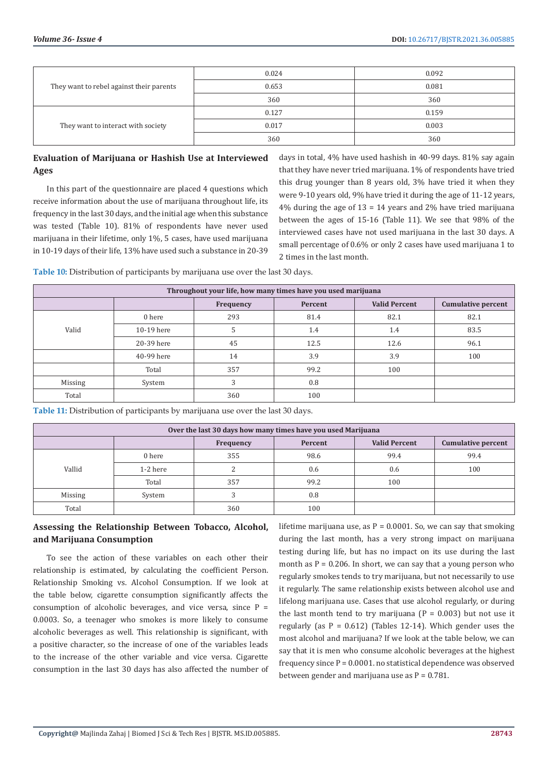| They want to rebel against their parents | 0.024 | 0.092 |
|------------------------------------------|-------|-------|
|                                          | 0.653 | 0.081 |
|                                          | 360   | 360   |
| They want to interact with society       | 0.127 | 0.159 |
|                                          | 0.017 | 0.003 |
|                                          | 360   | 360   |

# **Evaluation of Marijuana or Hashish Use at Interviewed Ages**

In this part of the questionnaire are placed 4 questions which receive information about the use of marijuana throughout life, its frequency in the last 30 days, and the initial age when this substance was tested (Table 10). 81% of respondents have never used marijuana in their lifetime, only 1%, 5 cases, have used marijuana in 10-19 days of their life, 13% have used such a substance in 20-39

days in total, 4% have used hashish in 40-99 days. 81% say again that they have never tried marijuana. 1% of respondents have tried this drug younger than 8 years old, 3% have tried it when they were 9-10 years old, 9% have tried it during the age of 11-12 years,  $4\%$  during the age of  $13 = 14$  years and  $2\%$  have tried marijuana between the ages of 15-16 (Table 11). We see that 98% of the interviewed cases have not used marijuana in the last 30 days. A small percentage of 0.6% or only 2 cases have used marijuana 1 to 2 times in the last month.

**Table 10:** Distribution of participants by marijuana use over the last 30 days.

| Throughout your life, how many times have you used marijuana |            |           |         |                      |                           |
|--------------------------------------------------------------|------------|-----------|---------|----------------------|---------------------------|
|                                                              |            | Frequency | Percent | <b>Valid Percent</b> | <b>Cumulative percent</b> |
|                                                              | 0 here     | 293       | 81.4    | 82.1                 | 82.1                      |
| Valid                                                        | 10-19 here |           | 1.4     | 1.4                  | 83.5                      |
|                                                              | 20-39 here | 45        | 12.5    | 12.6                 | 96.1                      |
|                                                              | 40-99 here | 14        | 3.9     | 3.9                  | 100                       |
|                                                              | Total      | 357       | 99.2    | 100                  |                           |
| <b>Missing</b>                                               | System     |           | 0.8     |                      |                           |
| Total                                                        |            | 360       | 100     |                      |                           |

**Table 11:** Distribution of participants by marijuana use over the last 30 days.

| Over the last 30 days how many times have you used Marijuana |          |           |         |                      |                           |
|--------------------------------------------------------------|----------|-----------|---------|----------------------|---------------------------|
|                                                              |          | Frequency | Percent | <b>Valid Percent</b> | <b>Cumulative percent</b> |
|                                                              | 0 here   | 355       | 98.6    | 99.4                 | 99.4                      |
| Vallid                                                       | 1-2 here |           | 0.6     | 0.6                  | 100                       |
|                                                              | Total    | 357       | 99.2    | 100                  |                           |
| <b>Missing</b>                                               | System   |           | 0.8     |                      |                           |
| Total                                                        |          | 360       | 100     |                      |                           |

### **Assessing the Relationship Between Tobacco, Alcohol, and Marijuana Consumption**

To see the action of these variables on each other their relationship is estimated, by calculating the coefficient Person. Relationship Smoking vs. Alcohol Consumption. If we look at the table below, cigarette consumption significantly affects the consumption of alcoholic beverages, and vice versa, since  $P =$ 0.0003. So, a teenager who smokes is more likely to consume alcoholic beverages as well. This relationship is significant, with a positive character, so the increase of one of the variables leads to the increase of the other variable and vice versa. Cigarette consumption in the last 30 days has also affected the number of lifetime marijuana use, as  $P = 0.0001$ . So, we can say that smoking during the last month, has a very strong impact on marijuana testing during life, but has no impact on its use during the last month as  $P = 0.206$ . In short, we can say that a young person who regularly smokes tends to try marijuana, but not necessarily to use it regularly. The same relationship exists between alcohol use and lifelong marijuana use. Cases that use alcohol regularly, or during the last month tend to try marijuana  $(P = 0.003)$  but not use it regularly (as  $P = 0.612$ ) (Tables 12-14). Which gender uses the most alcohol and marijuana? If we look at the table below, we can say that it is men who consume alcoholic beverages at the highest frequency since  $P = 0.0001$ . no statistical dependence was observed between gender and marijuana use as  $P = 0.781$ .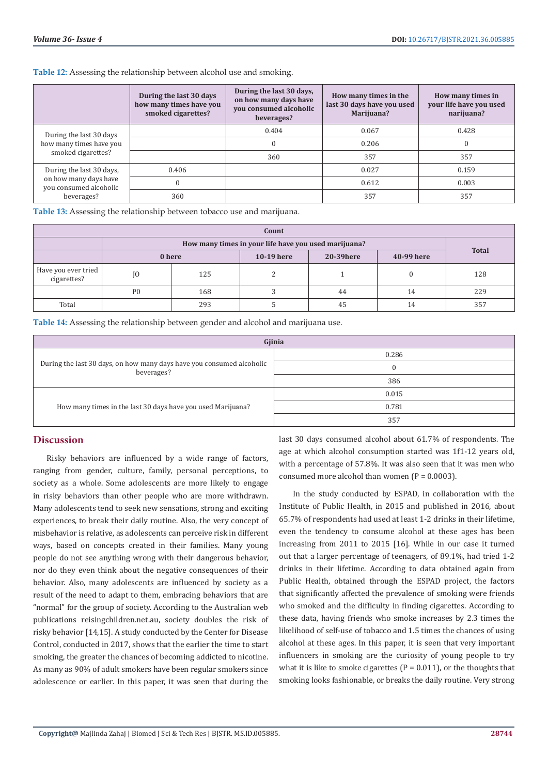**Table 12:** Assessing the relationship between alcohol use and smoking.

|                                                                                           | During the last 30 days<br>how many times have you<br>smoked cigarettes? | During the last 30 days,<br>on how many days have<br>you consumed alcoholic<br>beverages? | How many times in the<br>last 30 days have you used<br>Marijuana? | How many times in<br>your life have you used<br>narijuana? |
|-------------------------------------------------------------------------------------------|--------------------------------------------------------------------------|-------------------------------------------------------------------------------------------|-------------------------------------------------------------------|------------------------------------------------------------|
| During the last 30 days<br>how many times have you<br>smoked cigarettes?                  |                                                                          | 0.404                                                                                     | 0.067                                                             | 0.428                                                      |
|                                                                                           |                                                                          |                                                                                           | 0.206                                                             |                                                            |
|                                                                                           |                                                                          | 360                                                                                       | 357                                                               | 357                                                        |
| During the last 30 days,<br>on how many days have<br>you consumed alcoholic<br>beverages? | 0.406                                                                    |                                                                                           | 0.027                                                             | 0.159                                                      |
|                                                                                           | $\mathbf{0}$                                                             |                                                                                           | 0.612                                                             | 0.003                                                      |
|                                                                                           | 360                                                                      |                                                                                           | 357                                                               | 357                                                        |

**Table 13:** Assessing the relationship between tobacco use and marijuana.

| Count                              |                                                      |     |            |            |            |              |  |
|------------------------------------|------------------------------------------------------|-----|------------|------------|------------|--------------|--|
|                                    | How many times in your life have you used marijuana? |     |            |            |            |              |  |
|                                    | 0 here                                               |     | 10-19 here | 20-39 here | 40-99 here | <b>Total</b> |  |
| Have you ever tried<br>cigarettes? | 10                                                   | 125 |            |            |            | 128          |  |
|                                    | P <sub>0</sub>                                       | 168 |            | 44         | 14         | 229          |  |
| Total                              |                                                      | 293 |            | 45         | 14         | 357          |  |

**Table 14:** Assessing the relationship between gender and alcohol and marijuana use.

| Gjinia                                                                              |       |  |  |
|-------------------------------------------------------------------------------------|-------|--|--|
| During the last 30 days, on how many days have you consumed alcoholic<br>beverages? | 0.286 |  |  |
|                                                                                     |       |  |  |
|                                                                                     | 386   |  |  |
|                                                                                     | 0.015 |  |  |
| How many times in the last 30 days have you used Marijuana?                         | 0.781 |  |  |
|                                                                                     | 357   |  |  |

# **Discussion**

Risky behaviors are influenced by a wide range of factors, ranging from gender, culture, family, personal perceptions, to society as a whole. Some adolescents are more likely to engage in risky behaviors than other people who are more withdrawn. Many adolescents tend to seek new sensations, strong and exciting experiences, to break their daily routine. Also, the very concept of misbehavior is relative, as adolescents can perceive risk in different ways, based on concepts created in their families. Many young people do not see anything wrong with their dangerous behavior, nor do they even think about the negative consequences of their behavior. Also, many adolescents are influenced by society as a result of the need to adapt to them, embracing behaviors that are "normal" for the group of society. According to the Australian web publications reisingchildren.net.au, society doubles the risk of risky behavior [14,15]. A study conducted by the Center for Disease Control, conducted in 2017, shows that the earlier the time to start smoking, the greater the chances of becoming addicted to nicotine. As many as 90% of adult smokers have been regular smokers since adolescence or earlier. In this paper, it was seen that during the

last 30 days consumed alcohol about 61.7% of respondents. The age at which alcohol consumption started was 1f1-12 years old, with a percentage of 57.8%. It was also seen that it was men who consumed more alcohol than women  $(P = 0.0003)$ .

In the study conducted by ESPAD, in collaboration with the Institute of Public Health, in 2015 and published in 2016, about 65.7% of respondents had used at least 1-2 drinks in their lifetime, even the tendency to consume alcohol at these ages has been increasing from 2011 to 2015 [16]. While in our case it turned out that a larger percentage of teenagers, of 89.1%, had tried 1-2 drinks in their lifetime. According to data obtained again from Public Health, obtained through the ESPAD project, the factors that significantly affected the prevalence of smoking were friends who smoked and the difficulty in finding cigarettes. According to these data, having friends who smoke increases by 2.3 times the likelihood of self-use of tobacco and 1.5 times the chances of using alcohol at these ages. In this paper, it is seen that very important influencers in smoking are the curiosity of young people to try what it is like to smoke cigarettes ( $P = 0.011$ ), or the thoughts that smoking looks fashionable, or breaks the daily routine. Very strong